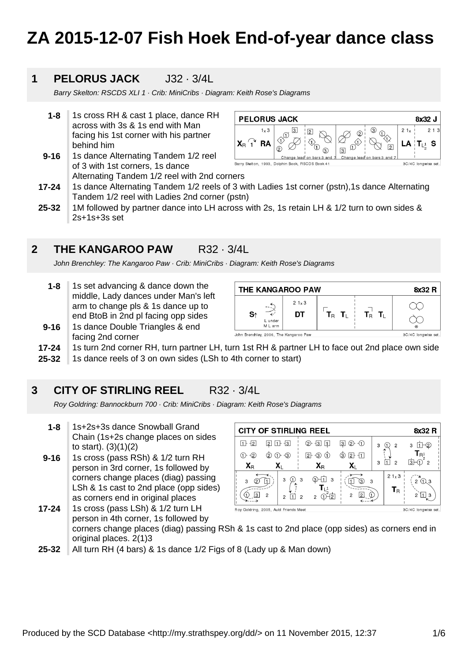# **ZA 2015-12-07 Fish Hoek End-of-year dance class**

### **1 PELORUS JACK** J32 · 3/4L

Barry Skelton: RSCDS XLI 1 · Crib: MiniCribs · Diagram: Keith Rose's Diagrams

- **1-8** 1s cross RH & cast 1 place, dance RH across with 3s & 1s end with Man facing his 1st corner with his partner behind him
- **9-16** 1s dance Alternating Tandem 1/2 reel of 3 with 1st corners, 1s dance Alternating Tandem 1/2 reel with 2nd corners



- **17-24** 1s dance Alternating Tandem 1/2 reels of 3 with Ladies 1st corner (pstn),1s dance Alternating Tandem 1/2 reel with Ladies 2nd corner (pstn)
- **25-32** 1M followed by partner dance into LH across with 2s, 1s retain LH & 1/2 turn to own sides & 2s+1s+3s set

### **2 THE KANGAROO PAW** R32 · 3/4L

John Brenchley: The Kangaroo Paw · Crib: MiniCribs · Diagram: Keith Rose's Diagrams

**1-8** 1s set advancing & dance down the middle, Lady dances under Man's left arm to change pls & 1s dance up to end BtoB in 2nd pl facing opp sides



- **9-16** 1s dance Double Triangles & end facing 2nd corner
- **17-24** 1s turn 2nd corner RH, turn partner LH, turn 1st RH & partner LH to face out 2nd place own side
- **25-32** 1s dance reels of 3 on own sides (LSh to 4th corner to start)

### **3 CITY OF STIRLING REEL** R32 · 3/4L

Roy Goldring: Bannockburn 700 · Crib: MiniCribs · Diagram: Keith Rose's Diagrams

- **1-8** 1s+2s+3s dance Snowball Grand Chain (1s+2s change places on sides to start). (3)(1)(2)
- **9-16** 1s cross (pass RSh) & 1/2 turn RH person in 3rd corner, 1s followed by corners change places (diag) passing LSh & 1s cast to 2nd place (opp sides) as corners end in original places

| <b>CITY OF STIRLING REEL</b><br>8x32 R |                |                |                                       |                                       |   |                                          |                                |  |
|----------------------------------------|----------------|----------------|---------------------------------------|---------------------------------------|---|------------------------------------------|--------------------------------|--|
| l1 F<br>ł2                             | 2              | $1 + 3$        | -із                                   | $\bigcirc$<br>②−<br>$\lvert 3 \rvert$ | 3 | $\overline{c}$                           | 6<br>3<br>11.                  |  |
| $\overline{2}$                         | $2$            | $\Theta$<br>⊕  | $\sqrt{2}$<br>-3                      | $2 + 11$<br>③                         |   |                                          | $R^1$ <sub>2</sub>             |  |
| $\mathbf{X}_{\mathsf{R}}$              |                | Xı             | $\mathbf{X}_{\mathsf{R}}$             | Xı                                    | 3 | $\mathcal{P}$                            | ßŀ<br>$\overline{2}$           |  |
| 3                                      |                | 3              | 3)<br>3<br>3                          | 3.                                    | 3 | $21 \times 3$<br>$\mathsf{T}_\mathsf{R}$ | (1) 3<br>$\mathcal{P}$         |  |
| 3                                      | $\overline{2}$ | $\mathfrak{p}$ | 2<br>$\overline{c}$<br>$\overline{2}$ | $\overline{2}$<br>2                   |   |                                          | 2<br>3<br>$00140$ languiga ast |  |

**17-24** 1s cross (pass LSh) & 1/2 turn LH Roy Goldring, 2005, Auld Friends person in 4th corner, 1s followed by corners change places (diag) passing RSh & 1s cast to 2nd place (opp sides) as corners end in original places. 2(1)3

**25-32** All turn RH (4 bars) & 1s dance 1/2 Figs of 8 (Lady up & Man down)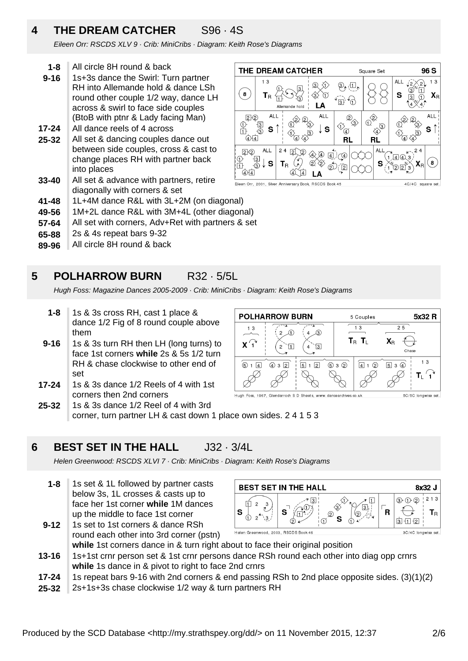### **4 THE DREAM CATCHER** S96 · 4S

Eileen Orr: RSCDS XLV 9 · Crib: MiniCribs · Diagram: Keith Rose's Diagrams

- **1-8** All circle 8H round & back
- **9-16** 1s+3s dance the Swirl: Turn partner RH into Allemande hold & dance LSh round other couple 1/2 way, dance LH across & swirl to face side couples (BtoB with ptnr & Lady facing Man)
- **17-24** All dance reels of 4 across
- **25-32** All set & dancing couples dance out between side couples, cross & cast to change places RH with partner back into places
- **33-40** All set & advance with partners, retire diagonally with corners & set
- **41-48** 1L+4M dance R&L with 3L+2M (on diagonal)
- **49-56** 1M+2L dance R&L with 3M+4L (other diagonal)
- **57-64** All set with corners, Adv+Ret with partners & set
- **65-88** 2s & 4s repeat bars 9-32
- **89-96** All circle 8H round & back



### **5 POLHARROW BURN** R32 · 5/5L

Hugh Foss: Magazine Dances 2005-2009 · Crib: MiniCribs · Diagram: Keith Rose's Diagrams

**POLHARROW BURN** 

 $\overline{2}$ A

 $\overline{432}$ 

 $\mathbf{L}$  $\overline{2}$ 

Hugh Foss, 1967, Glendarroch S D Sheets, www.dancearchives.co.uk

 $4\sqrt{3}$ 

 $\overline{4}$  $\sqrt{3}$ 

 $\overline{5}$  1  $\overline{2}$ 

 $13$ 

 $\mathsf{X}^{\bigcap}$ 

 $\overline{6}$  1 4

- **1-8** 1s & 3s cross RH, cast 1 place & dance 1/2 Fig of 8 round couple above them
- **9-16** 1s & 3s turn RH then LH (long turns) to face 1st corners **while** 2s & 5s 1/2 turn RH & chase clockwise to other end of set
- **17-24** 1s & 3s dance 1/2 Reels of 4 with 1st corners then 2nd corners
- **25-32** 1s & 3s dance 1/2 Reel of 4 with 3rd corner, turn partner LH & cast down 1 place own sides. 2 4 1 5 3

#### **6 BEST SET IN THE HALL J32 · 3/4L**

Helen Greenwood: RSCDS XLVI 7 · Crib: MiniCribs · Diagram: Keith Rose's Diagrams

**1-8** 1s set & 1L followed by partner casts below 3s, 1L crosses & casts up to face her 1st corner **while** 1M dances up the middle to face 1st corner



5 Couples  $\overline{13}$ 

 $\mathsf{T}_\mathsf{B}$   $\mathsf{T}_\mathsf{L}$ 

 $\overline{4}$  1  $\odot$ 

 $930$ 

- **9-12** 1s set to 1st corners & dance RSh round each other into 3rd corner (pstn) **while** 1st corners dance in & turn right about to face their original position
- **13-16** 1s+1st crnr person set & 1st crnr persons dance RSh round each other into diag opp crnrs **while** 1s dance in & pivot to right to face 2nd crnrs
- **17-24** 1s repeat bars 9-16 with 2nd corners & end passing RSh to 2nd place opposite sides. (3)(1)(2)
- **25-32** 2s+1s+3s chase clockwise 1/2 way & turn partners RH

5x32 R

 $1<sub>3</sub>$ 

T<sub>1</sub>

5C/5C longwise set

 $\overline{25}$ 

 $\mathbf{X}_\text{R}$ 

 $\overline{5}$  3  $\overline{4}$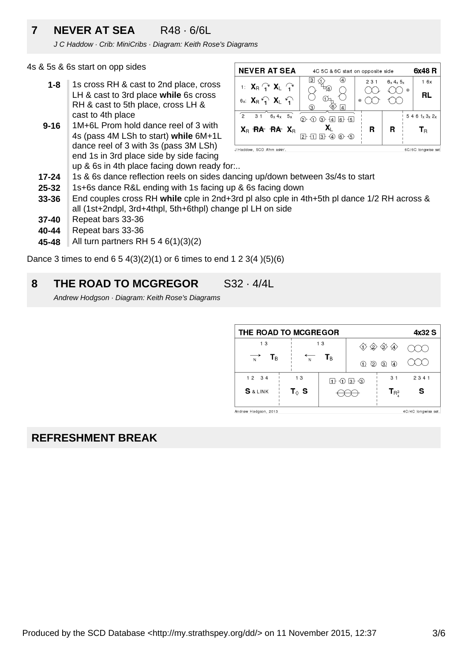### **7 NEVER AT SEA** R48 · 6/6L

J C Haddow · Crib: MiniCribs · Diagram: Keith Rose's Diagrams

4s & 5s & 6s start on opp sides

- **1-8** 1s cross RH & cast to 2nd place, cross LH & cast to 3rd place **while** 6s cross RH & cast to 5th place, cross LH & cast to 4th place
- **9-16** 1M+6L Prom hold dance reel of 3 with 4s (pass 4M LSh to start) **while** 6M+1L dance reel of 3 with 3s (pass 3M LSh) end 1s in 3rd place side by side facing up & 6s in 4th place facing down ready for:..



- **17-24** 1s & 6s dance reflection reels on sides dancing up/down between 3s/4s to start
- **25-32** 1s+6s dance R&L ending with 1s facing up & 6s facing down
- **33-36** End couples cross RH **while** cple in 2nd+3rd pl also cple in 4th+5th pl dance 1/2 RH across & all (1st+2ndpl, 3rd+4thpl, 5th+6thpl) change pl LH on side
- **37-40** Repeat bars 33-36
- **40-44** Repeat bars 33-36
- **45-48** All turn partners RH 5 4 6(1)(3)(2)

Dance 3 times to end  $6\ 5\ 4(3)(2)(1)$  or 6 times to end 1 2 3(4  $)(5)(6)$ 

#### **8 THE ROAD TO MCGREGOR** S32 · 4/4L

Andrew Hodgson · Diagram: Keith Rose's Diagrams

| THE ROAD TO MCGREGOR<br>4x32 S              |                                    |                         |                                                  |                                                                                       |      |  |  |
|---------------------------------------------|------------------------------------|-------------------------|--------------------------------------------------|---------------------------------------------------------------------------------------|------|--|--|
| 13                                          |                                    | 13                      |                                                  | $\langle 3 \rangle$<br>$\langle 1 \rangle$ $\langle 2 \rangle$<br>$\langle 4 \rangle$ |      |  |  |
| Т <sub>в</sub><br>$\overline{N}$            | N                                  | $\mathsf{T}_\mathsf{B}$ | ②<br>(1)                                         | $\left( 4 \right)$<br>$\circled{3}$                                                   |      |  |  |
| 12 34                                       | 13                                 |                         | $\mathbf{D} \oplus \mathbf{D} \oplus \mathbf{D}$ | 3 <sub>1</sub>                                                                        | 2341 |  |  |
| <b>S</b> & LINK                             | $\mathbf{T}_{\Diamond }\mathbf{S}$ |                         |                                                  | $T_{\rm R_{4}^{3}}$                                                                   |      |  |  |
| Andrew Hodgson, 2013<br>4C/4C longwise set. |                                    |                         |                                                  |                                                                                       |      |  |  |

### **REFRESHMENT BREAK**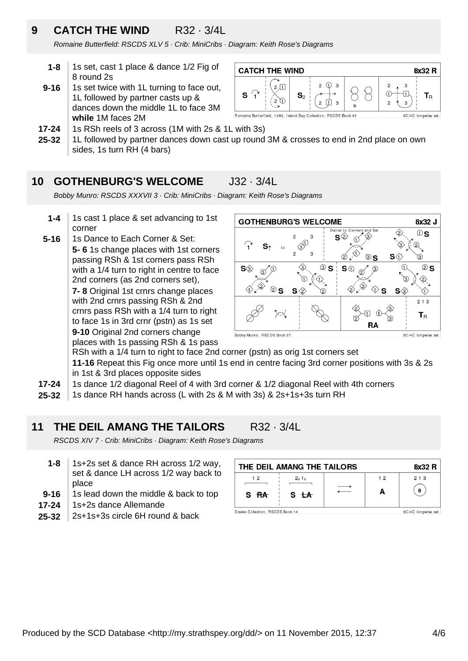### **9 CATCH THE WIND** R32 · 3/4L

Romaine Butterfield: RSCDS XLV 5 · Crib: MiniCribs · Diagram: Keith Rose's Diagrams

- **1-8** 1s set, cast 1 place & dance 1/2 Fig of 8 round 2s
- **9-16** 1s set twice with 1L turning to face out, 1L followed by partner casts up & dances down the middle 1L to face 3M **while** 1M faces 2M



- **17-24** 1s RSh reels of 3 across (1M with 2s & 1L with 3s)
- **25-32** 1L followed by partner dances down cast up round 3M & crosses to end in 2nd place on own sides, 1s turn RH (4 bars)

### **10 GOTHENBURG'S WELCOME** J32 · 3/4L

Bobby Munro: RSCDS XXXVII 3 · Crib: MiniCribs · Diagram: Keith Rose's Diagrams

- **1-4** 1s cast 1 place & set advancing to 1st corner
- **5-16** 1s Dance to Each Corner & Set: **5- 6** 1s change places with 1st corners passing RSh & 1st corners pass RSh with a 1/4 turn to right in centre to face 2nd corners (as 2nd corners set), **7- 8** Original 1st crnrs change places with 2nd crnrs passing RSh & 2nd crnrs pass RSh with a 1/4 turn to right to face 1s in 3rd crnr (pstn) as 1s set **9-10** Original 2nd corners change places with 1s passing RSh & 1s pass



RSh with a 1/4 turn to right to face 2nd corner (pstn) as orig 1st corners set **11-16** Repeat this Fig once more until 1s end in centre facing 3rd corner positions with 3s & 2s in 1st & 3rd places opposite sides

- **17-24** 1s dance 1/2 diagonal Reel of 4 with 3rd corner & 1/2 diagonal Reel with 4th corners
- **25-32** 1s dance RH hands across (L with 2s & M with 3s) & 2s+1s+3s turn RH

### **11 THE DEIL AMANG THE TAILORS** R32 · 3/4L

RSCDS XIV 7 · Crib: MiniCribs · Diagram: Keith Rose's Diagrams

- **1-8** 1s+2s set & dance RH across 1/2 way, set & dance LH across 1/2 way back to place
- **9-16** 1s lead down the middle & back to top
- **17-24** 1s+2s dance Allemande
- **25-32** 2s+1s+3s circle 6H round & back

| THE DEIL AMANG THE TAILORS<br>8x32 R |                     |  |                |       |  |
|--------------------------------------|---------------------|--|----------------|-------|--|
| 12                                   | 2x1x                |  | 1 <sub>2</sub> | 2 1 3 |  |
| S RA                                 | S <del>LA</del>     |  | А              | 6     |  |
| Davies Collection, RSCDS Book 14     | 3C/4C longwise set. |  |                |       |  |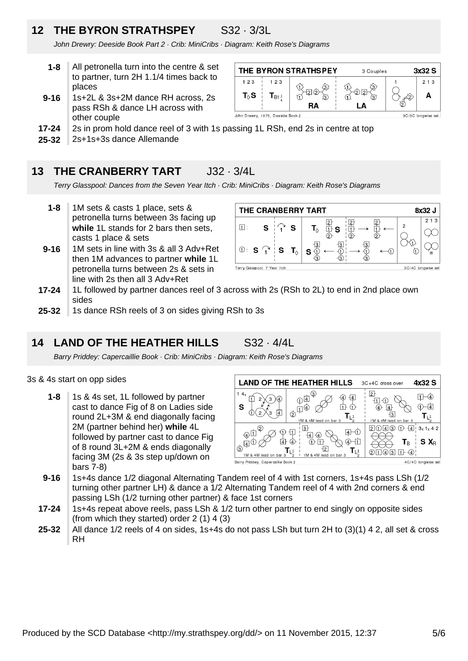## **12 THE BYRON STRATHSPEY** S32 · 3/3L

John Drewry: Deeside Book Part 2 · Crib: MiniCribs · Diagram: Keith Rose's Diagrams

- **1-8** All petronella turn into the centre & set to partner, turn 2H 1.1/4 times back to places
- **9-16** 1s+2L & 3s+2M dance RH across, 2s pass RSh & dance LH across with other couple



- **17-24** 2s in prom hold dance reel of 3 with 1s passing 1L RSh, end 2s in centre at top
- **25-32** 2s+1s+3s dance Allemande

### **13 THE CRANBERRY TART J32 · 3/4L**

Terry Glasspool: Dances from the Seven Year Itch · Crib: MiniCribs · Diagram: Keith Rose's Diagrams

- **1-8** 1M sets & casts 1 place, sets & petronella turns between 3s facing up **while** 1L stands for 2 bars then sets, casts 1 place & sets
- **9-16** 1M sets in line with 3s & all 3 Adv+Ret then 1M advances to partner **while** 1L petronella turns between 2s & sets in line with 2s then all 3 Adv+Ret

| THE CRANBERRY TART<br>8x32 J                       |   |  |   |                                      |   |       |
|----------------------------------------------------|---|--|---|--------------------------------------|---|-------|
| l1 I :                                             | S |  | s |                                      | っ | 2 1 3 |
|                                                    |   |  |   | $\mathbf{I}_{\Diamond}$<br>· S<br>'n |   |       |
| $\circ$ S $\uparrow$ S T <sub>0</sub>              |   |  |   |                                      |   |       |
|                                                    |   |  |   | s                                    |   |       |
| 3C/4C longwise set<br>Terry Glasspool, 7 Year Itch |   |  |   |                                      |   |       |

- **17-24** 1L followed by partner dances reel of 3 across with 2s (RSh to 2L) to end in 2nd place own sides
- **25-32** 1s dance RSh reels of 3 on sides giving RSh to 3s

### **14 LAND OF THE HEATHER HILLS** S32 · 4/4L

Barry Priddey: Capercaillie Book · Crib: MiniCribs · Diagram: Keith Rose's Diagrams

### 3s & 4s start on opp sides

**1-8** 1s & 4s set, 1L followed by partner cast to dance Fig of 8 on Ladies side round 2L+3M & end diagonally facing 2M (partner behind her) **while** 4L followed by partner cast to dance Fig of 8 round 3L+2M & ends diagonally facing 3M (2s & 3s step up/down on bars 7-8)

**LAND OF THE HEATHER HILLS** 4x32 S 3C+4C cross over  $\boxed{2}$  $\mathbb{O}^{\mathbb{E}}$  $\Box \Box$  $(4)$   $(4)$  $\overline{H}$  $\Psi$ 立 む  $\bigoplus$  $\overline{\oplus} \ \overline{\oplus}$  $\phi$  $\overline{3}$  $T_{L^4_1}$  $T_{L^1}$ 1M & 4M 114 4M lead on ba  $20430 + 413x1x42$ ➁ <u>i [3]</u>  $\circledcirc$  $\bigoplus$  $\overline{\mathbb{1}}$ 国一①  $\overline{4}$   $\overline{4}$  $\mathbb{A}^{\oplus}$ 面ゆ ④一  $S X_R$  $①$  $\mathsf{T}_\mathsf{B}$  $\overline{2}$  $T_{L_x^1}$  $2141$ 1M & 4M lead on bar 1M & 4M lead on bar 3 Barry Priddey, Capercaillie Book 2

4C/4C longwise set

- **9-16** 1s+4s dance 1/2 diagonal Alternating Tandem reel of 4 with 1st corners, 1s+4s pass LSh (1/2 turning other partner LH) & dance a 1/2 Alternating Tandem reel of 4 with 2nd corners & end passing LSh (1/2 turning other partner) & face 1st corners
- **17-24** 1s+4s repeat above reels, pass LSh & 1/2 turn other partner to end singly on opposite sides (from which they started) order 2 (1) 4 (3)
- **25-32** All dance 1/2 reels of 4 on sides, 1s+4s do not pass LSh but turn 2H to (3)(1) 4 2, all set & cross RH